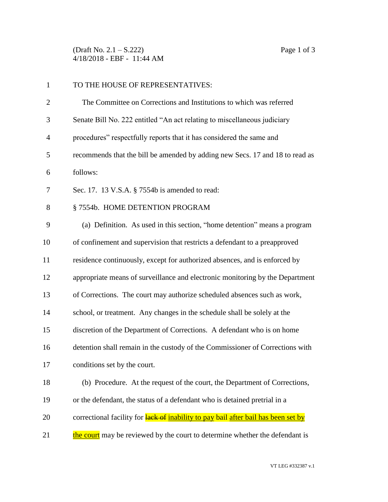(Draft No. 2.1 – S.222) Page 1 of 3 4/18/2018 - EBF - 11:44 AM

| $\mathbf{1}$   | TO THE HOUSE OF REPRESENTATIVES:                                                   |
|----------------|------------------------------------------------------------------------------------|
| $\overline{2}$ | The Committee on Corrections and Institutions to which was referred                |
| 3              | Senate Bill No. 222 entitled "An act relating to miscellaneous judiciary           |
| $\overline{4}$ | procedures" respectfully reports that it has considered the same and               |
| 5              | recommends that the bill be amended by adding new Secs. 17 and 18 to read as       |
| 6              | follows:                                                                           |
| 7              | Sec. 17. 13 V.S.A. § 7554b is amended to read:                                     |
| 8              | §7554b. HOME DETENTION PROGRAM                                                     |
| 9              | (a) Definition. As used in this section, "home detention" means a program          |
| 10             | of confinement and supervision that restricts a defendant to a preapproved         |
| 11             | residence continuously, except for authorized absences, and is enforced by         |
| 12             | appropriate means of surveillance and electronic monitoring by the Department      |
| 13             | of Corrections. The court may authorize scheduled absences such as work,           |
| 14             | school, or treatment. Any changes in the schedule shall be solely at the           |
| 15             | discretion of the Department of Corrections. A defendant who is on home            |
| 16             | detention shall remain in the custody of the Commissioner of Corrections with      |
| 17             | conditions set by the court.                                                       |
| 18             | (b) Procedure. At the request of the court, the Department of Corrections,         |
| 19             | or the defendant, the status of a defendant who is detained pretrial in a          |
| 20             | correctional facility for lack of inability to pay bail after bail has been set by |
| 21             | the court may be reviewed by the court to determine whether the defendant is       |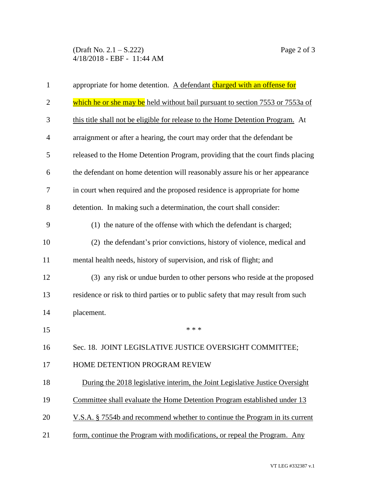(Draft No. 2.1 – S.222) Page 2 of 3 4/18/2018 - EBF - 11:44 AM

| 1              | appropriate for home detention. A defendant charged with an offense for          |
|----------------|----------------------------------------------------------------------------------|
| $\overline{2}$ | which he or she may be held without bail pursuant to section 7553 or 7553a of    |
| 3              | this title shall not be eligible for release to the Home Detention Program. At   |
| 4              | arraignment or after a hearing, the court may order that the defendant be        |
| 5              | released to the Home Detention Program, providing that the court finds placing   |
| 6              | the defendant on home detention will reasonably assure his or her appearance     |
| 7              | in court when required and the proposed residence is appropriate for home        |
| 8              | detention. In making such a determination, the court shall consider:             |
| 9              | (1) the nature of the offense with which the defendant is charged;               |
| 10             | (2) the defendant's prior convictions, history of violence, medical and          |
| 11             | mental health needs, history of supervision, and risk of flight; and             |
| 12             | (3) any risk or undue burden to other persons who reside at the proposed         |
| 13             | residence or risk to third parties or to public safety that may result from such |
| 14             | placement.                                                                       |
| 15             | * * *                                                                            |
| 16             | Sec. 18. JOINT LEGISLATIVE JUSTICE OVERSIGHT COMMITTEE;                          |
| 17             | HOME DETENTION PROGRAM REVIEW                                                    |
| 18             | During the 2018 legislative interim, the Joint Legislative Justice Oversight     |
| 19             | Committee shall evaluate the Home Detention Program established under 13         |
| 20             | V.S.A. § 7554b and recommend whether to continue the Program in its current      |
| 21             | form, continue the Program with modifications, or repeal the Program. Any        |